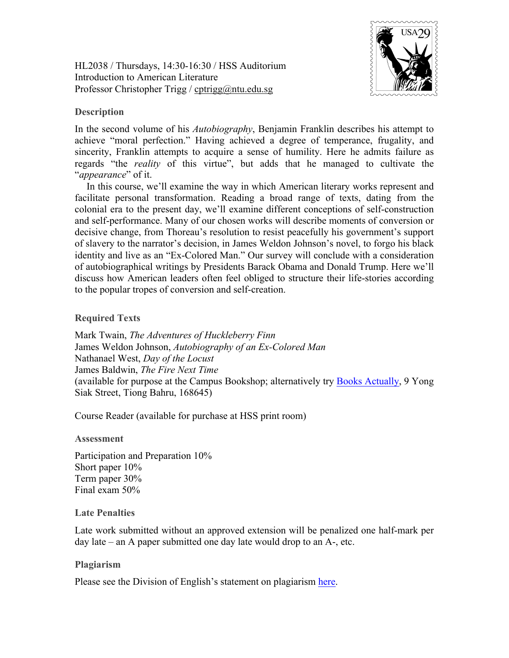HL2038 / Thursdays, 14:30-16:30 / HSS Auditorium Introduction to American Literature Professor Christopher Trigg / cptrigg@ntu.edu.sg



# **Description**

In the second volume of his *Autobiography*, Benjamin Franklin describes his attempt to achieve "moral perfection." Having achieved a degree of temperance, frugality, and sincerity, Franklin attempts to acquire a sense of humility. Here he admits failure as regards "the *reality* of this virtue", but adds that he managed to cultivate the "*appearance*" of it.

In this course, we'll examine the way in which American literary works represent and facilitate personal transformation. Reading a broad range of texts, dating from the colonial era to the present day, we'll examine different conceptions of self-construction and self-performance. Many of our chosen works will describe moments of conversion or decisive change, from Thoreau's resolution to resist peacefully his government's support of slavery to the narrator's decision, in James Weldon Johnson's novel, to forgo his black identity and live as an "Ex-Colored Man." Our survey will conclude with a consideration of autobiographical writings by Presidents Barack Obama and Donald Trump. Here we'll discuss how American leaders often feel obliged to structure their life-stories according to the popular tropes of conversion and self-creation.

## **Required Texts**

Mark Twain, *The Adventures of Huckleberry Finn* James Weldon Johnson, *Autobiography of an Ex-Colored Man* Nathanael West, *Day of the Locust* James Baldwin, *The Fire Next Time* (available for purpose at the Campus Bookshop; alternatively try Books Actually, 9 Yong Siak Street, Tiong Bahru, 168645)

Course Reader (available for purchase at HSS print room)

## **Assessment**

Participation and Preparation 10% Short paper 10% Term paper 30% Final exam 50%

## **Late Penalties**

Late work submitted without an approved extension will be penalized one half-mark per day late – an A paper submitted one day late would drop to an A-, etc.

## **Plagiarism**

Please see the Division of English's statement on plagiarism here.